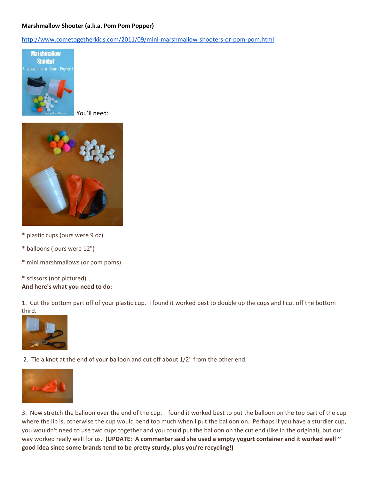## **Marshmallow Shooter (a.k.a. Pom Pom Popper)**

<http://www.cometogetherkids.com/2011/09/mini-marshmallow-shooters-or-pom-pom.html>



You'll need:



- \* plastic cups (ours were 9 oz)
- \* balloons ( ours were 12")
- \* mini marshmallows (or pom poms)
- \* scissors (not pictured) **And here's what you need to do:**

1. Cut the bottom part off of your plastic cup. I found it worked best to double up the cups and I cut off the bottom third.



2. Tie a knot at the end of your balloon and cut off about 1/2" from the other end.



3. Now stretch the balloon over the end of the cup. I found it worked best to put the balloon on the top part of the cup where the lip is, otherwise the cup would bend too much when I put the balloon on. Perhaps if you have a sturdier cup, you wouldn't need to use two cups together and you could put the balloon on the cut end (like in the original), but our way worked really well for us. **(UPDATE: A commenter said she used a empty yogurt container and it worked well ~ good idea since some brands tend to be pretty sturdy, plus you're recycling!)**